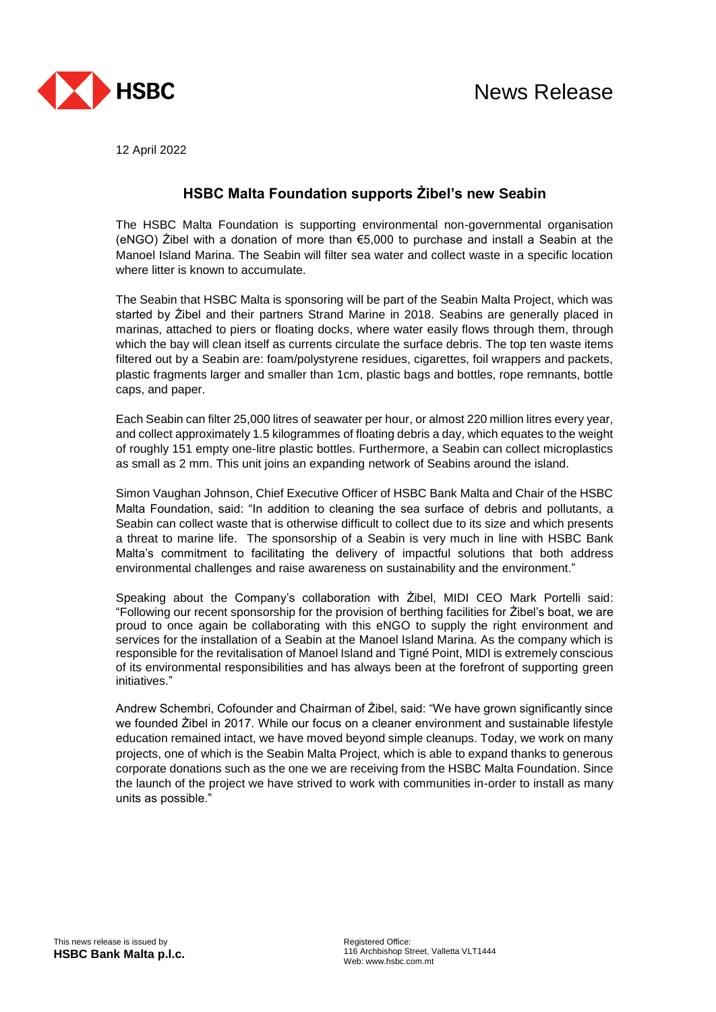

12 April 2022

## **HSBC Malta Foundation supports Żibel's new Seabin**

The HSBC Malta Foundation is supporting environmental non-governmental organisation (eNGO) Zibel with a donation of more than  $65,000$  to purchase and install a Seabin at the Manoel Island Marina. The Seabin will filter sea water and collect waste in a specific location where litter is known to accumulate.

The Seabin that HSBC Malta is sponsoring will be part of the Seabin Malta Project, which was started by Żibel and their partners Strand Marine in 2018. Seabins are generally placed in marinas, attached to piers or floating docks, where water easily flows through them, through which the bay will clean itself as currents circulate the surface debris. The top ten waste items filtered out by a Seabin are: foam/polystyrene residues, cigarettes, foil wrappers and packets, plastic fragments larger and smaller than 1cm, plastic bags and bottles, rope remnants, bottle caps, and paper.

Each Seabin can filter 25,000 litres of seawater per hour, or almost 220 million litres every year, and collect approximately 1.5 kilogrammes of floating debris a day, which equates to the weight of roughly 151 empty one-litre plastic bottles. Furthermore, a Seabin can collect microplastics as small as 2 mm. This unit joins an expanding network of Seabins around the island.

Simon Vaughan Johnson, Chief Executive Officer of HSBC Bank Malta and Chair of the HSBC Malta Foundation, said: "In addition to cleaning the sea surface of debris and pollutants, a Seabin can collect waste that is otherwise difficult to collect due to its size and which presents a threat to marine life. The sponsorship of a Seabin is very much in line with HSBC Bank Malta's commitment to facilitating the delivery of impactful solutions that both address environmental challenges and raise awareness on sustainability and the environment."

Speaking about the Company's collaboration with Żibel, MIDI CEO Mark Portelli said: "Following our recent sponsorship for the provision of berthing facilities for Żibel's boat, we are proud to once again be collaborating with this eNGO to supply the right environment and services for the installation of a Seabin at the Manoel Island Marina. As the company which is responsible for the revitalisation of Manoel Island and Tigné Point, MIDI is extremely conscious of its environmental responsibilities and has always been at the forefront of supporting green initiatives."

Andrew Schembri, Cofounder and Chairman of Żibel, said: "We have grown significantly since we founded Żibel in 2017. While our focus on a cleaner environment and sustainable lifestyle education remained intact, we have moved beyond simple cleanups. Today, we work on many projects, one of which is the Seabin Malta Project, which is able to expand thanks to generous corporate donations such as the one we are receiving from the HSBC Malta Foundation. Since the launch of the project we have strived to work with communities in-order to install as many units as possible."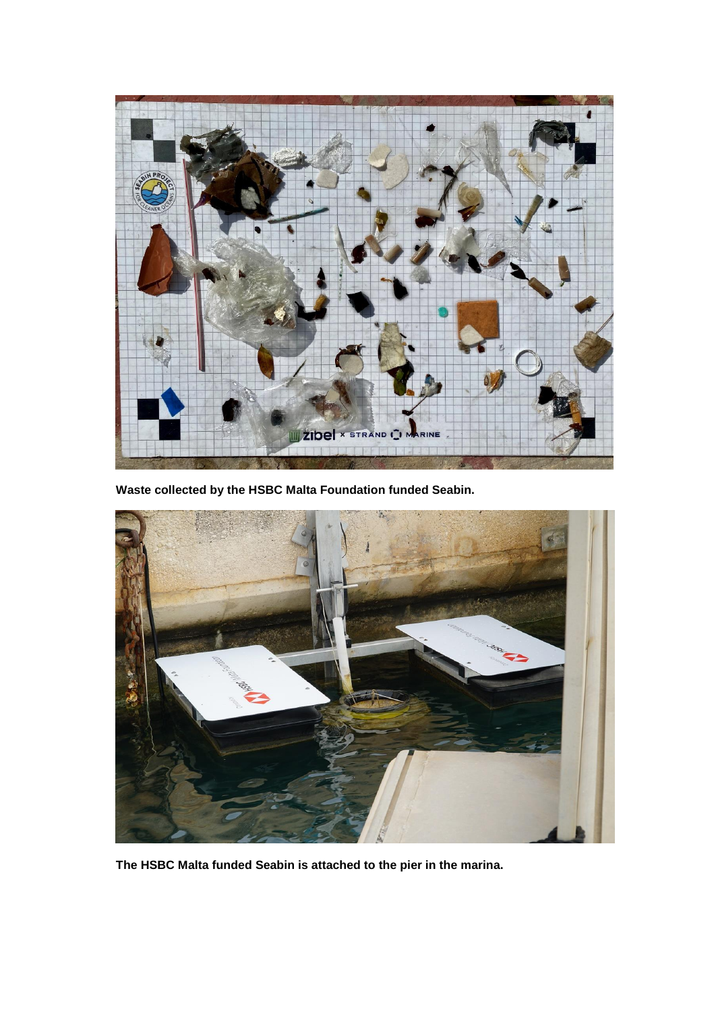

**Waste collected by the HSBC Malta Foundation funded Seabin.**



**The HSBC Malta funded Seabin is attached to the pier in the marina.**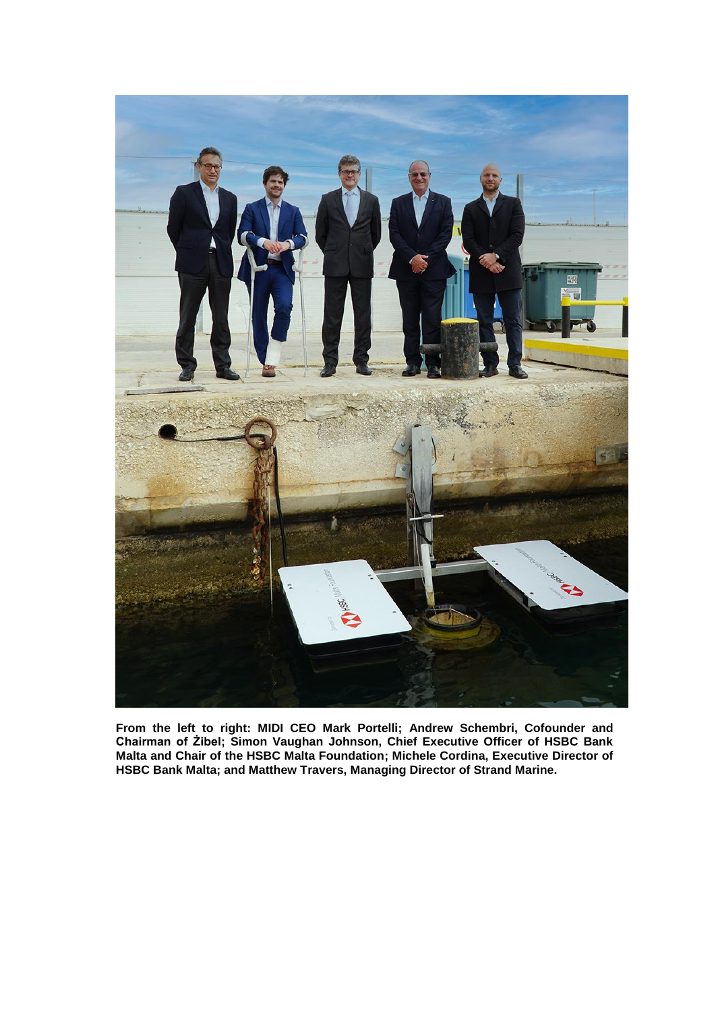

**From the left to right: MIDI CEO Mark Portelli; Andrew Schembri, Cofounder and Chairman of Żibel; Simon Vaughan Johnson, Chief Executive Officer of HSBC Bank Malta and Chair of the HSBC Malta Foundation; Michele Cordina, Executive Director of HSBC Bank Malta; and Matthew Travers, Managing Director of Strand Marine.**